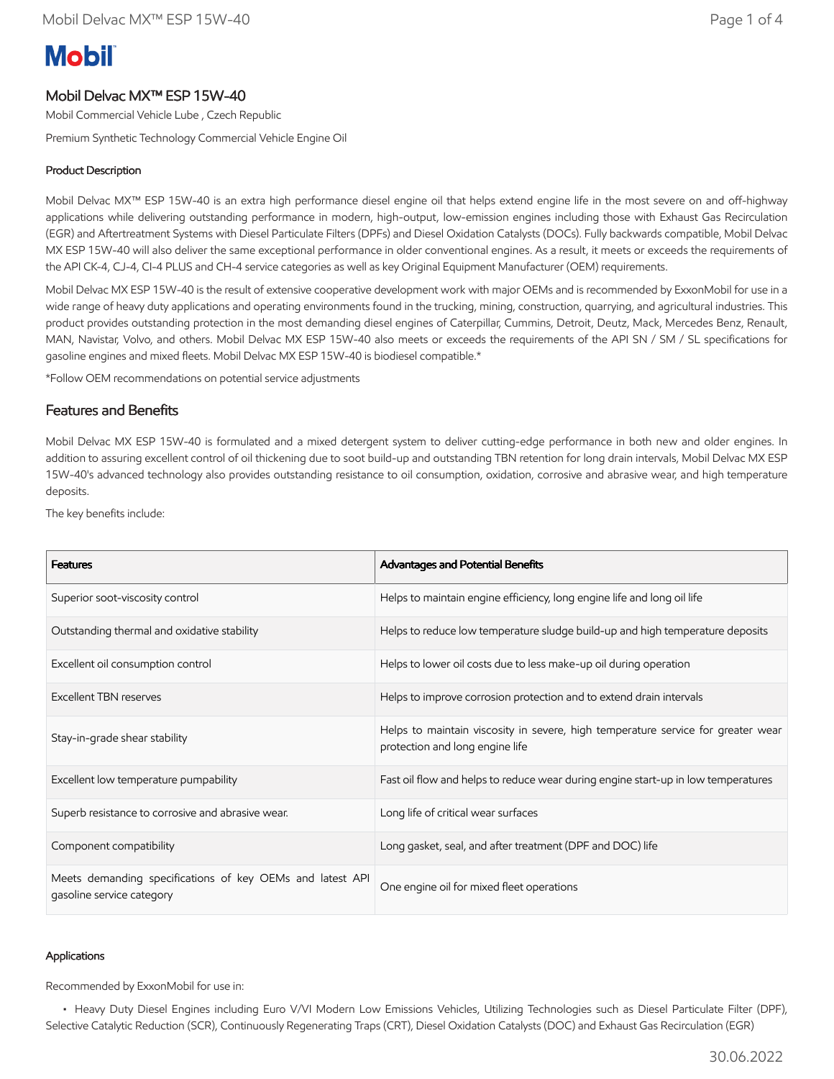# **Mobil**

# Mobil Delvac MX™ ESP 15W-40

Mobil Commercial Vehicle Lube , Czech Republic

Premium Synthetic Technology Commercial Vehicle Engine Oil

## Product Description

Mobil Delvac MX™ ESP 15W-40 is an extra high performance diesel engine oil that helps extend engine life in the most severe on and off-highway applications while delivering outstanding performance in modern, high-output, low-emission engines including those with Exhaust Gas Recirculation (EGR) and Aftertreatment Systems with Diesel Particulate Filters (DPFs) and Diesel Oxidation Catalysts (DOCs). Fully backwards compatible, Mobil Delvac MX ESP 15W-40 will also deliver the same exceptional performance in older conventional engines. As a result, it meets or exceeds the requirements of the API CK-4, CJ-4, CI-4 PLUS and CH-4 service categories as well as key Original Equipment Manufacturer (OEM) requirements.

Mobil Delvac MX ESP 15W-40 is the result of extensive cooperative development work with major OEMs and is recommended by ExxonMobil for use in a wide range of heavy duty applications and operating environments found in the trucking, mining, construction, quarrying, and agricultural industries. This product provides outstanding protection in the most demanding diesel engines of Caterpillar, Cummins, Detroit, Deutz, Mack, Mercedes Benz, Renault, MAN, Navistar, Volvo, and others. Mobil Delvac MX ESP 15W-40 also meets or exceeds the requirements of the API SN / SM / SL specifications for gasoline engines and mixed fleets. Mobil Delvac MX ESP 15W-40 is biodiesel compatible.\*

\*Follow OEM recommendations on potential service adjustments

### Features and Benefits

Mobil Delvac MX ESP 15W-40 is formulated and a mixed detergent system to deliver cutting-edge performance in both new and older engines. In addition to assuring excellent control of oil thickening due to soot build-up and outstanding TBN retention for long drain intervals, Mobil Delvac MX ESP 15W-40's advanced technology also provides outstanding resistance to oil consumption, oxidation, corrosive and abrasive wear, and high temperature deposits.

The key benefits include:

| <b>Features</b>                                                                        | Advantages and Potential Benefits                                                                                   |
|----------------------------------------------------------------------------------------|---------------------------------------------------------------------------------------------------------------------|
| Superior soot-viscosity control                                                        | Helps to maintain engine efficiency, long engine life and long oil life                                             |
| Outstanding thermal and oxidative stability                                            | Helps to reduce low temperature sludge build-up and high temperature deposits                                       |
| Excellent oil consumption control                                                      | Helps to lower oil costs due to less make-up oil during operation                                                   |
| <b>Excellent TBN reserves</b>                                                          | Helps to improve corrosion protection and to extend drain intervals                                                 |
| Stay-in-grade shear stability                                                          | Helps to maintain viscosity in severe, high temperature service for greater wear<br>protection and long engine life |
| Excellent low temperature pumpability                                                  | Fast oil flow and helps to reduce wear during engine start-up in low temperatures                                   |
| Superb resistance to corrosive and abrasive wear.                                      | Long life of critical wear surfaces                                                                                 |
| Component compatibility                                                                | Long gasket, seal, and after treatment (DPF and DOC) life                                                           |
| Meets demanding specifications of key OEMs and latest API<br>gasoline service category | One engine oil for mixed fleet operations                                                                           |

#### Applications

Recommended by ExxonMobil for use in:

 • Heavy Duty Diesel Engines including Euro V/VI Modern Low Emissions Vehicles, Utilizing Technologies such as Diesel Particulate Filter (DPF), Selective Catalytic Reduction (SCR), Continuously Regenerating Traps (CRT), Diesel Oxidation Catalysts (DOC) and Exhaust Gas Recirculation (EGR)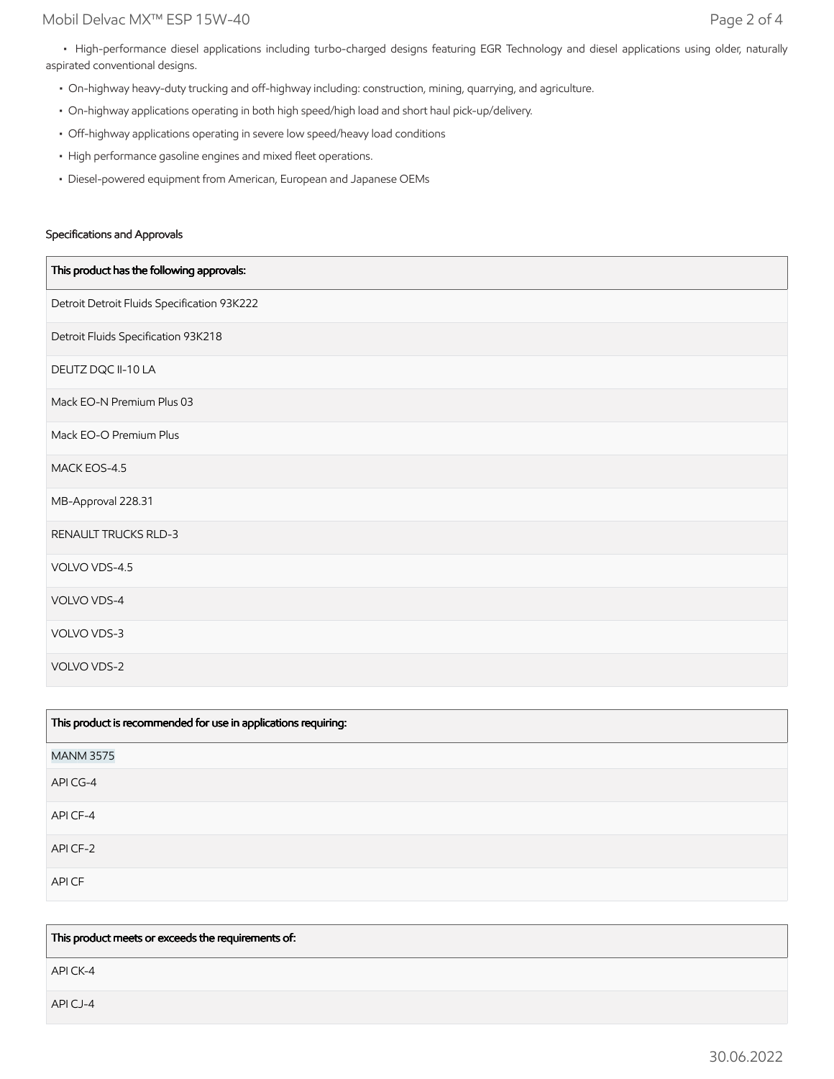• High-performance diesel applications including turbo-charged designs featuring EGR Technology and diesel applications using older, naturally aspirated conventional designs.

- On-highway heavy-duty trucking and off-highway including: construction, mining, quarrying, and agriculture.
- On-highway applications operating in both high speed/high load and short haul pick-up/delivery.
- Off-highway applications operating in severe low speed/heavy load conditions
- High performance gasoline engines and mixed fleet operations.
- Diesel-powered equipment from American, European and Japanese OEMs

#### Specifications and Approvals

| This product has the following approvals:   |
|---------------------------------------------|
| Detroit Detroit Fluids Specification 93K222 |
| Detroit Fluids Specification 93K218         |
| DEUTZ DQC II-10 LA                          |
| Mack EO-N Premium Plus 03                   |
| Mack EO-O Premium Plus                      |
| MACK EOS-4.5                                |
| MB-Approval 228.31                          |
| RENAULT TRUCKS RLD-3                        |
| VOLVO VDS-4.5                               |
| VOLVO VDS-4                                 |
| VOLVO VDS-3                                 |
| VOLVO VDS-2                                 |

| This product is recommended for use in applications requiring: |  |
|----------------------------------------------------------------|--|
| <b>MANM 3575</b>                                               |  |
| API CG-4                                                       |  |
| API CF-4                                                       |  |
| API CF-2                                                       |  |
| API CF                                                         |  |

This product meets or exceeds the requirements of:

API CK-4

API CJ-4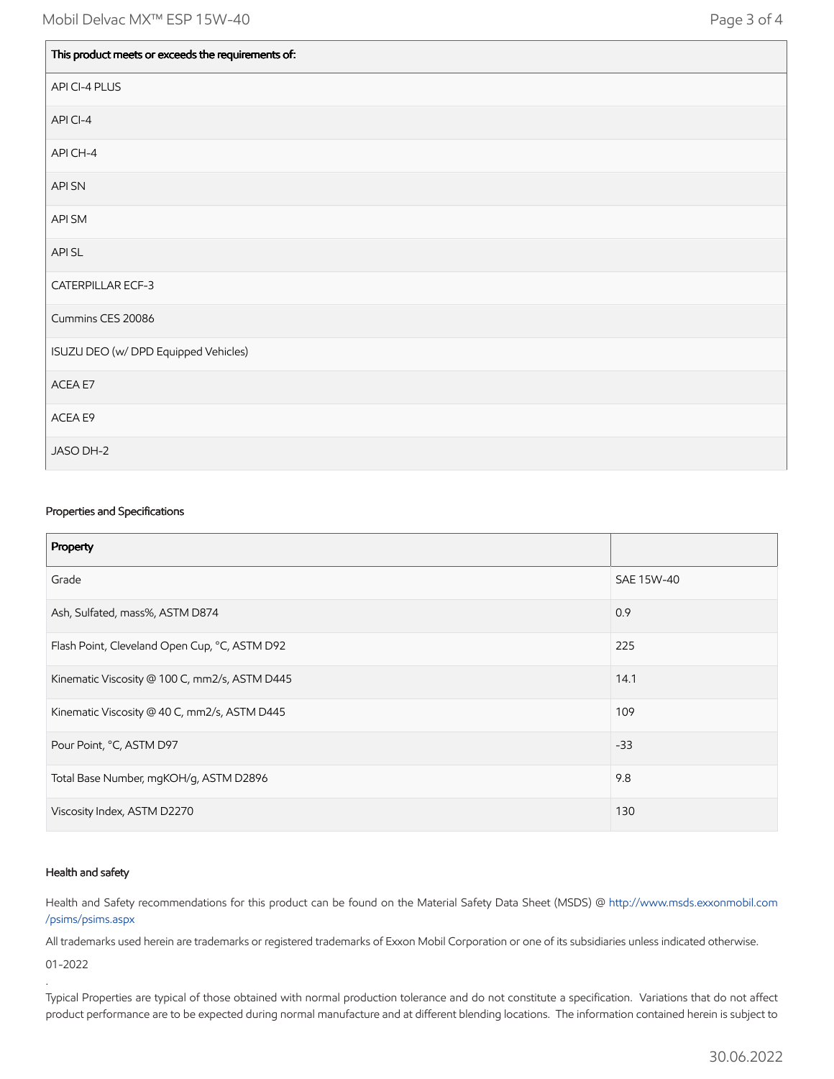| This product meets or exceeds the requirements of: |
|----------------------------------------------------|
| API CI-4 PLUS                                      |
| API CI-4                                           |
| API CH-4                                           |
| API SN                                             |
| API SM                                             |
| API SL                                             |
| CATERPILLAR ECF-3                                  |
| Cummins CES 20086                                  |
| ISUZU DEO (w/ DPD Equipped Vehicles)               |
| ACEA E7                                            |
| ACEA E9                                            |
| JASO DH-2                                          |

#### Properties and Specifications

| Property                                      |            |
|-----------------------------------------------|------------|
| Grade                                         | SAE 15W-40 |
| Ash, Sulfated, mass%, ASTM D874               | 0.9        |
| Flash Point, Cleveland Open Cup, °C, ASTM D92 | 225        |
| Kinematic Viscosity @ 100 C, mm2/s, ASTM D445 | 14.1       |
| Kinematic Viscosity @ 40 C, mm2/s, ASTM D445  | 109        |
| Pour Point, °C, ASTM D97                      | $-33$      |
| Total Base Number, mgKOH/g, ASTM D2896        | 9.8        |
| Viscosity Index, ASTM D2270                   | 130        |

#### Health and safety

.

Health and Safety recommendations for this product can be found on the Material Safety Data Sheet (MSDS) @ [http://www.msds.exxonmobil.com](http://www.msds.exxonmobil.com/psims/psims.aspx) /psims/psims.aspx

All trademarks used herein are trademarks or registered trademarks of Exxon Mobil Corporation or one of its subsidiaries unless indicated otherwise. 01-2022

Typical Properties are typical of those obtained with normal production tolerance and do not constitute a specification. Variations that do not affect product performance are to be expected during normal manufacture and at different blending locations. The information contained herein is subject to